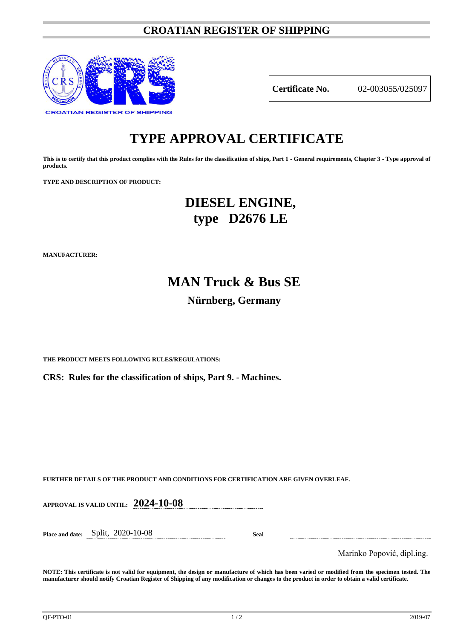### **CROATIAN REGISTER OF SHIPPING**



**Certificate No.** 02-003055/025097

## **TYPE APPROVAL CERTIFICATE**

**This is to certify that this product complies with the Rules for the classification of ships, Part 1 - General requirements, Chapter 3 - Type approval of products.**

**TYPE AND DESCRIPTION OF PRODUCT:** 

## **DIESEL ENGINE, type D2676 LE**

**MANUFACTURER:**

# **MAN Truck & Bus SE Nürnberg, Germany**

**THE PRODUCT MEETS FOLLOWING RULES/REGULATIONS:**

**CRS: Rules for the classification of ships, Part 9. - Machines.**

**FURTHER DETAILS OF THE PRODUCT AND CONDITIONS FOR CERTIFICATION ARE GIVEN OVERLEAF.**

**APPROVAL IS VALID UNTIL: 2024-10-08**

**Place and date:** Split, 2020-10-08 **Seal**

Marinko Popović, dipl.ing.

**NOTE: This certificate is not valid for equipment, the design or manufacture of which has been varied or modified from the specimen tested. The manufacturer should notify Croatian Register of Shipping of any modification or changes to the product in order to obtain a valid certificate.**